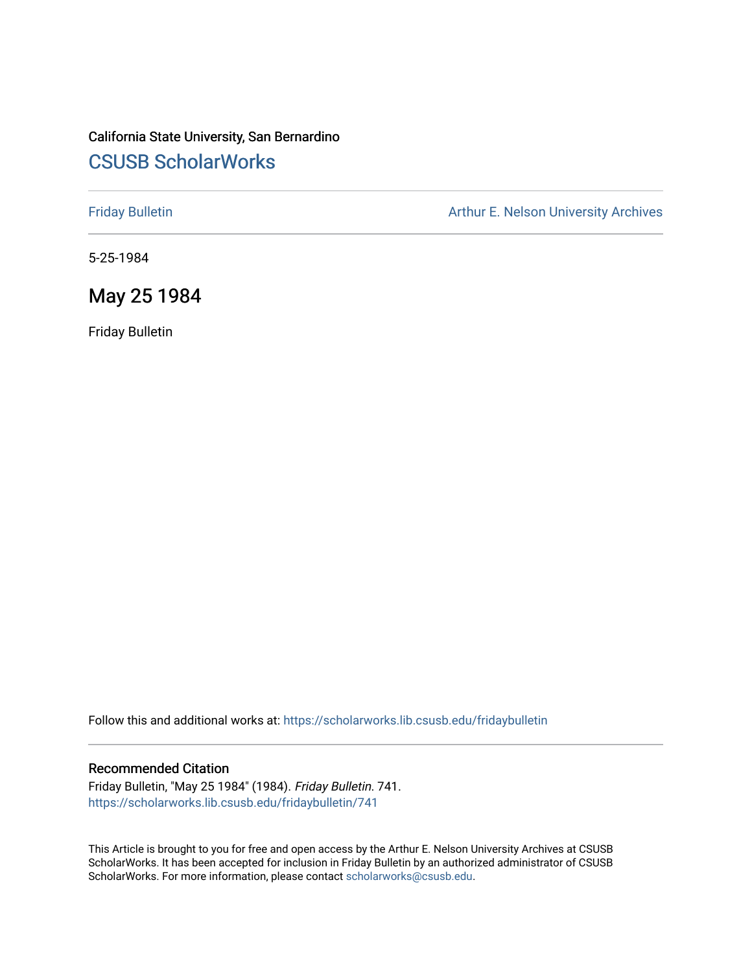# California State University, San Bernardino [CSUSB ScholarWorks](https://scholarworks.lib.csusb.edu/)

[Friday Bulletin](https://scholarworks.lib.csusb.edu/fridaybulletin) **Arthur E. Nelson University Archives** Arthur E. Nelson University Archives

5-25-1984

# May 25 1984

Friday Bulletin

Follow this and additional works at: [https://scholarworks.lib.csusb.edu/fridaybulletin](https://scholarworks.lib.csusb.edu/fridaybulletin?utm_source=scholarworks.lib.csusb.edu%2Ffridaybulletin%2F741&utm_medium=PDF&utm_campaign=PDFCoverPages)

## Recommended Citation

Friday Bulletin, "May 25 1984" (1984). Friday Bulletin. 741. [https://scholarworks.lib.csusb.edu/fridaybulletin/741](https://scholarworks.lib.csusb.edu/fridaybulletin/741?utm_source=scholarworks.lib.csusb.edu%2Ffridaybulletin%2F741&utm_medium=PDF&utm_campaign=PDFCoverPages)

This Article is brought to you for free and open access by the Arthur E. Nelson University Archives at CSUSB ScholarWorks. It has been accepted for inclusion in Friday Bulletin by an authorized administrator of CSUSB ScholarWorks. For more information, please contact [scholarworks@csusb.edu.](mailto:scholarworks@csusb.edu)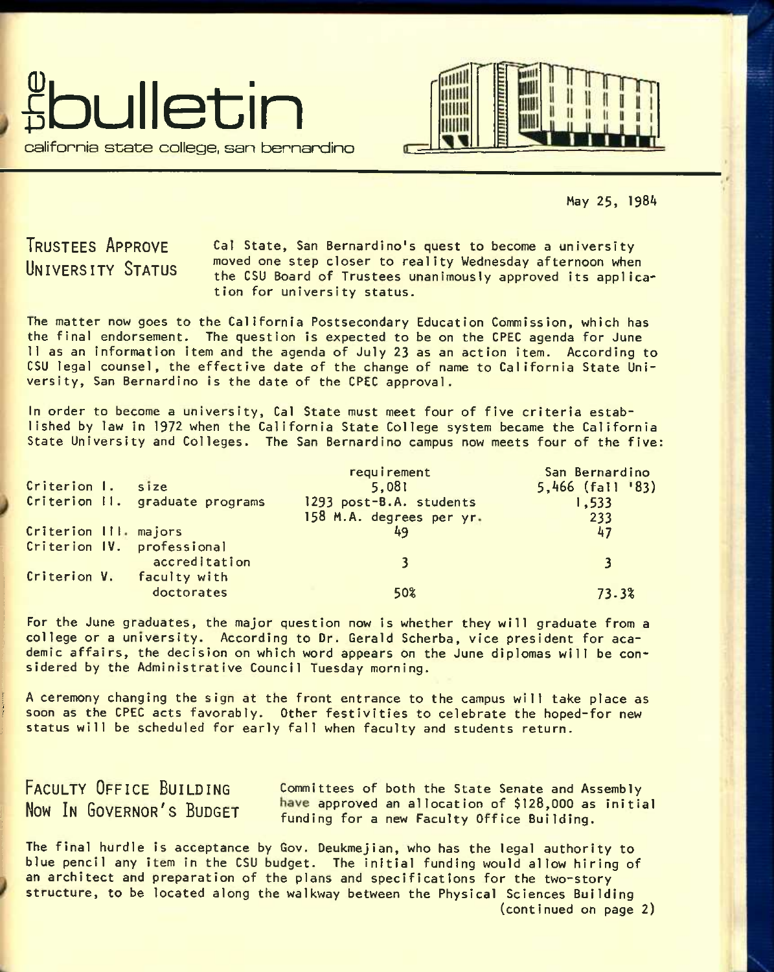



May 25, 1984

<sup>T</sup>**RUSTEES** A**PPROVE**  <sup>U</sup>**NIVERSITY** S**TATUS** 

Cal State, San Bernardino's quest to become a university moved one step closer to reality Wednesday afternoon when the CSU Board of Trustees unanimously approved its application for university status.

The matter now goes to the California Postsecondary Education Commission, which has the final endorsement. The question is expected to be on the CPEC agenda for June 11 as an information item and the agenda of July 23 as an action item. According to CSU legal counsel, the effective date of the change of name to California State University, San Bernardino is the date of the CPEC approval.

In order to become a university, Cal State must meet four of five criteria established by law in 1972 when the California State College system became the California State University and Colleges. The San Bernardino campus now meets four of the five:

| Criterion I.          | size                                        | requirement<br>5,081                                | San Bernardino<br>$5,466$ (fall '83) |
|-----------------------|---------------------------------------------|-----------------------------------------------------|--------------------------------------|
|                       | Criterion II. graduate programs             | 1293 post-B.A. students<br>158 M.A. degrees per yr. | 1,533<br>233                         |
| Criterion III. majors |                                             |                                                     | 47                                   |
|                       | Criterion IV. professional<br>accreditation |                                                     |                                      |
|                       | Criterion V. faculty with<br>doctorates     | 50%                                                 | 73.3%                                |

For the June graduates, the major question now is whether they will graduate from a college or a university. According to Dr. Gerald Scherba, vice president for academic affairs, the decision on which word appears on the June diplomas will be considered by the Administrative Council Tuesday morning.

A ceremony changing the sign at the front entrance to the campus will take place as soon as the CPEC acts favorably. Other festivities to celebrate the hoped-for new status will be scheduled for early fall when faculty and students return.

<sup>F</sup>**ACULTY** O**FFICE** B**UILDING** committees of both the state senate and Assembly Now In GOVERNOR'S BUDGET have approved an allocation of \$128,000 as initial funding for a new Faculty Office Building.

The final hurdle is acceptance by Gov. Deukmejian, who has the legal authority to blue pencil any item in the CSU budget. The initial funding would allow hiring of an architect and preparation of the plans and specifications for the two-story structure, to be located along the walkway between the Physical Sciences Building (continued on page 2)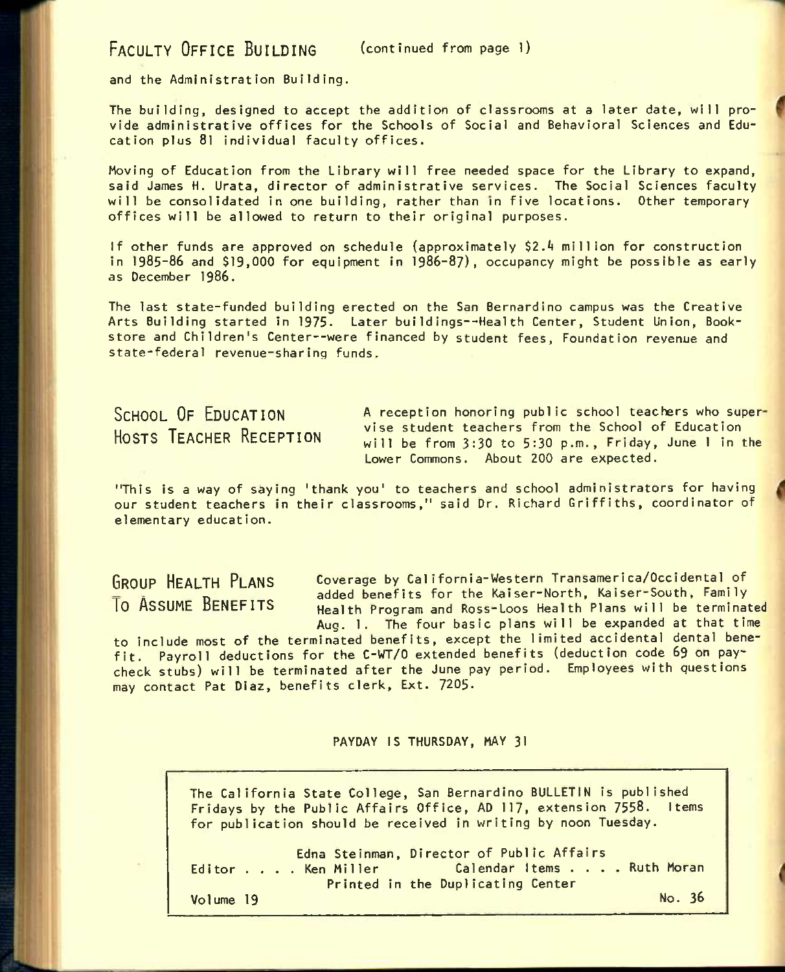FACULTY OFFICE BUILDING (continued from page 1)

and the Administration Building.

The building, designed to accept the addition of classrooms at a later date, will provide administrative offices for the Schools of Social and Behavioral Sciences and Education plus 8l individual faculty offices.

Moving of Education from the Library will free needed space for the Library to expand, said James H. Urata, director of administrative services. The Social Sciences faculty will be consolidated in one building, rather than in five locations. Other temporary offices will be allowed to return to their original purposes.

If other funds are approved on schedule (approximately \$2.A million for construction in **1985-86** and \$19,000 for equipment in 1986-87), occupancy might be possible as early as December 1986.

The last state-funded building erected on the San Bernardino campus was the Creative Arts Building started in 1975. Later buildings--Health Center, Student Union, Bookstore and Children's Center--were financed by student fees, Foundation revenue and state-federal revenue-sharing funds.

**SCHOOL OF EDUCATION HOSTS TEACHER RECEPTION**  A reception honoring public school teachers who super vise student teachers from the School of Education will be from 3:30 to 5:30 p.m., Friday, June 1 in the Lower Commons. About 200 are expected.

"This is a way of saying 'thank you' to teachers and school administrators for having our student teachers in their classrooms," said Dr. Richard Griffiths, coordinator of elementary education.

**GROUP HEALTH PLANS** Coverage by California-Western Transamerica/Occidental of Shoot Hencin Centre added benefits for the Kaiser-North, Kaiser-South, Family<br>To ASSUME BENEFITS a Health Program and Possaloos Health Plans will be terminat Health Program and Ross-Loos Health Plans will be terminated Aug. 1. The four basic plans will be expanded at that time

to include most of the terminated benefits, except the limited accidental dental benefit. Payroll deductions for the C-WT/0 extended benefits (deduction code **69** on paycheck stubs) will be terminated after the June pay period. Employees with questions may contact Pat Diaz, benefits clerk. Ext. 7205.

PAYDAY IS THURSDAY, MAY 31

The California State College, San Bernardino BULLETIN is published Fridays by the Public Affairs Office, AD 117, extension 7558. Items for publication should be received in writing by noon Tuesday.

Editor . . . Edna Steinman, Director of Public Affairs<br>Editor . . . Ken Miller Calendar Items . . . . Ruth Moran Printed in the Duplicating Center Volume 19 No. 38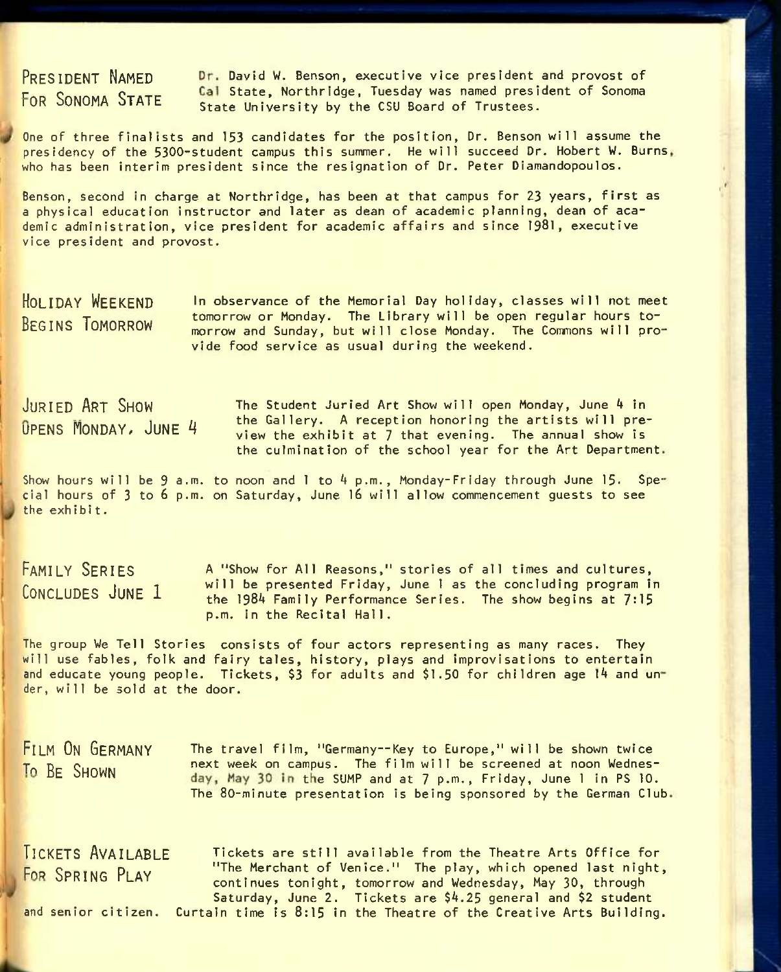PRESIDENT NAMED Dr. David W. Benson, executive vice president and provost of **FIRE SONOMA STATE Cal State, Northridge, Tuesday was named president of Sonoma** State University by the CSU Board of Trustees.

One of three finalists and 153 candidates for the position. Dr. Benson will assume the presidency of the 5300-student campus this summer. He will succeed Dr. Hobert W. Burns who has been interim president since the resignation of Dr. Peter Diamandopoulos.

Benson, second in charge at Northridge, has been at that campus for 23 years, first as a physical education instructor and later as dean of academic planning, dean of academic administration, vice president for academic affairs and since 1981, executive vice president and provost.

**HOLIDAY WEEKEND BEGINS TOMORROW**  In observance of the Memorial Day holiday, classes will not meet tomorrow or Monday. The Library will be open regular hours tomorrow and Sunday, but will close Monday. The Commons will provide food service as usual during the weekend.

**JURIED ART SHOW The Student Juried Art Show will open Monday, June 4 in**  $\rho$  the Gallery. A reception honoring the artists will pre-<br> $\rho$ PFNS MONDAY, JUNE 4 view the exhibit at 7 that evening. The annual show is the culmination of the school year for the Art Department

Show hours will be 9 a.m. to noon and  $l$  to  $4$  p.m., Monday-Friday through June 15. Special hours of 3 to 6 p.m. on Saturday, June 16 will allow commencement guests to see the exh ibi t.

A "Show for All Reasons," stories of all times and cultures, will be presented Friday, June 1 as the concluding program In the  $1984$  Family Performance Series. The show begins at  $7:15$ p.m. In the Recital Hall. **FAMILY SERIES CONCLUDES JUNE 1** 

The group We Tell Stories consists of four actors representing as many races. They will use fables, folk and fairy tales, history, plays and improvisations to entertain and educate young people. Tickets, \$3 for adults and \$1.50 for children age  $14$  and under, will be sold at the door.

FILM ON GERMANY The travel film, "Germany--Key to Europe," will be shown twice To BE SHOWN next week on campus. The film will be screened at noon Wednesday, May 30 in the SUMP and at 7 p.m., Friday, June 1 in PS 10. The 80-minute presentation is being sponsored by the German Club.

**TICKETS AVAILABLE TICKETS** are still available from the Theatre Arts Office for FOR SPRING PLAY "The Merchant of Venice." The play, which opened last night, continues tonight, tomorrow and Wednesday, May 30, through Saturday, June 2. Tickets are \$4.25 general and \$2 student and senior citizen. Curtain time is 8:15 in the Theatre of the Creative Arts Building.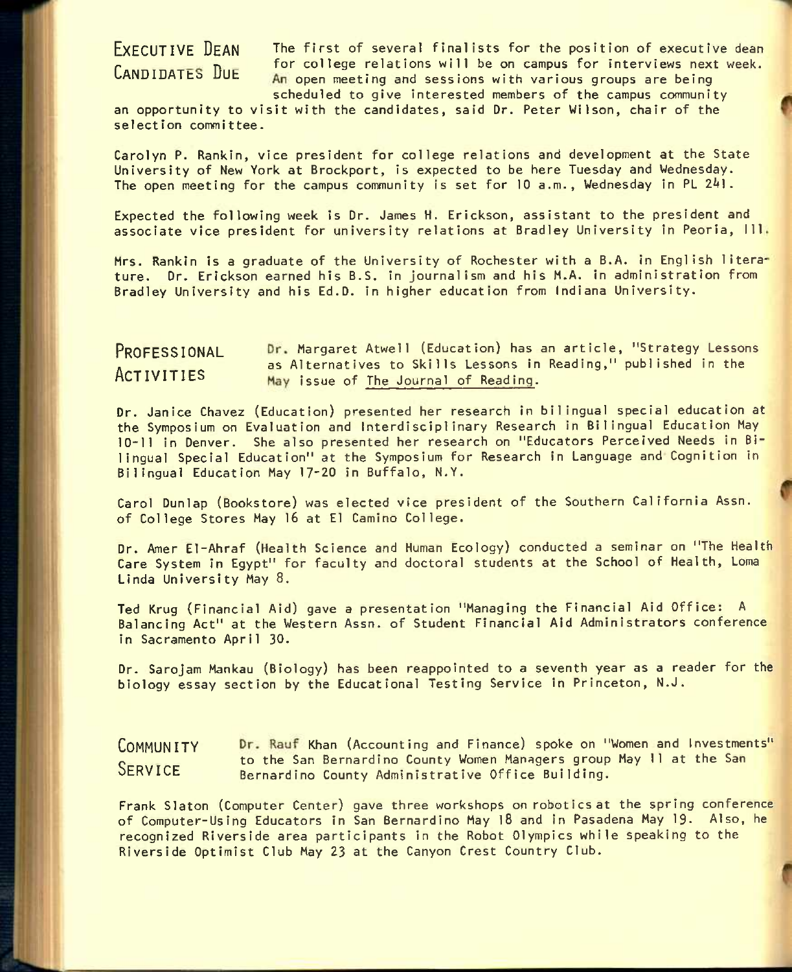**EXECUTIVE DEAN** The first of several finalists for the position of executive dean ENDIVITY For college relations will be on campus for interviews next week. An open meeting and sessions with various groups are being scheduled to give interested members of the campus community

an opportunity to visit with the candidates, said Dr. Peter Wilson, chair of the selection committee.

Carolyn P. Rankin, vice president for college relations and development at the State University of New York at Brockport, is expected to be here Tuesday and Wednesday. The open meeting for the campus community is set for 10 a.m., Wednesday in PL 241.

Expected the following week is Dr. James H. Erickson, assistant to the president and associate vice president for university relations at Bradley University in Peoria, 111.

Mrs. Rankin is a graduate of the University of Rochester with a B.A. in English literature. Dr. Erickson earned his B.S. in journalism and his M.A. in administration from Bradley University and his Ed.D. in higher education from Indiana University.

## PROFESSIONAL Dr. Margaret Atwell (Education) has an article, "Strategy Lessons - as Alternatives to Skills Lessons in Reading," published in the May issue of The Journal of Reading.

Dr. Janice Chavez (Education) presented her research In bilingual special education at the Symposium on Evaluation and Interdisciplinary Research in Bilingual Education May 10-11 in Denver. She also presented her research on "Educators Perceived Needs in Bilingual Special Education" at the Symposium for Research in Language and Cognition in Bilingual Education May 17-20 in Buffalo, N.Y.

Carol Dunlap (Bookstore) was elected vice president of the Southern California Assn. of College Stores May 16 at El Camino College.

Dr. Amer El-Ahraf (Health Science and Human Ecology) conducted a seminar on "The Health Care System In Egypt" for faculty and doctoral students at the School of Health, Loma Linda University May 8.

Ted Krug (Financial Aid) gave a presentation "Managing the Financial Aid Office: A Balancing Act" at the Western Assn. of Student Financial Aid Administrators conference in Sacramento April 30.

Dr. Sarojam Mankau (Biology) has been reappointed to a seventh year as a reader for the biology essay section by the Educational Testing Service in Princeton, N.J.

COMMUNITY Dr. Rauf Khan (Accounting and Finance) spoke on "Women and Investments" SERVICE to the San Bernardino County Women Managers group May 11 at the San Bernardino County Administrative Office Building.

Frank Slaton (Computer Center) gave three workshops on robotics at the spring conference of Computer-Using Educators in San Bernardino May 18 and In Pasadena May 19. Also, he recognized Riverside area participants in the Robot Olympics while speaking to the Riverside Optimist Club May 23 at the Canyon Crest Country Club.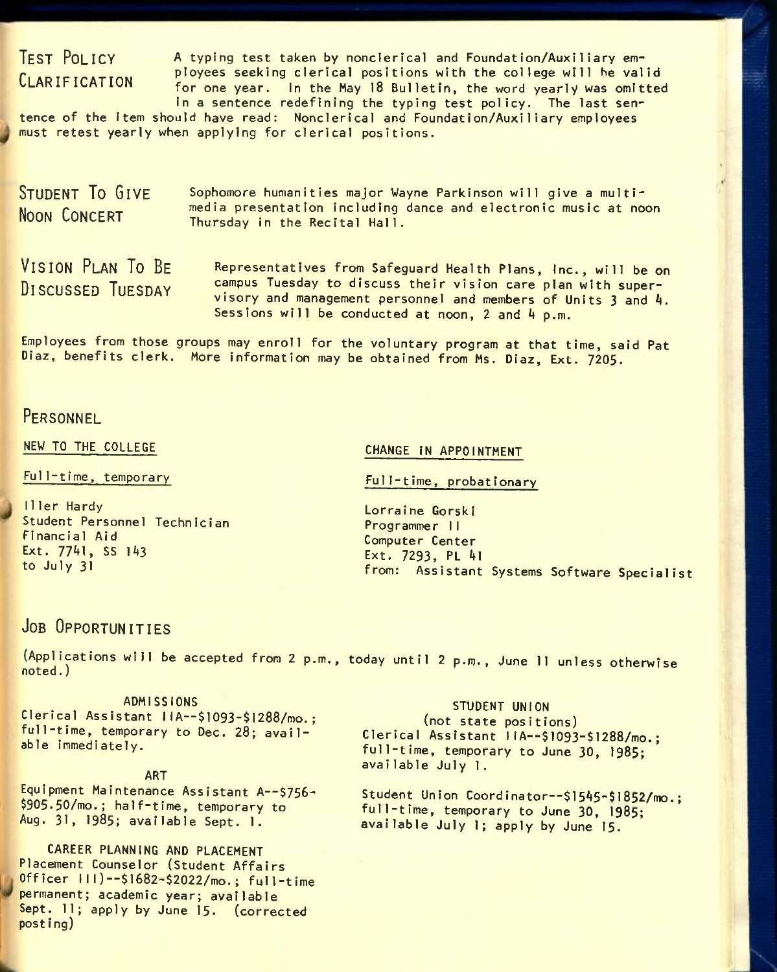# **TEST POLICY CLARIFICATION**

A typing test taken by nonclerlcal and Foundation/Auxiliary employees seeking clerical positions with the college will he valid for one year. In the May 18 Bulletin, the word yearly was omitted

In a sentence redefining the typing test policy. The last sentence of the Item should have read: Nonclerical and Foundation/Auxiliary employees must retest yearly when applying for clerical positions.

STUDENT TO GIVE **NOON CONCERT** Sophomore humanities major Wayne Parkinson will give a multimedia presentation Including dance and electronic music at noon Thursday In the Recital Hall.

**VISION PLAN TO BE DISCUSSED TUESDAY** 

Representatives from Safeguard Health Plans, Inc., will be on campus Tuesday to discuss their vision care plan with supervisory and management personnel and members of Units 3 and A. Sessions will be conducted at noon,  $2$  and  $4$  p.m.

Employees from those groups may enroll for the voluntary program at that time, said Pat Diaz, benefits clerk. More information may be obtained from Ms. Diaz, Ext. 7205.

# **PERSONNEL**

NEW TO THE COLLEGE

Full-time, temporary

11ler Hardy Student Personnel Technician Financial Aid Ext. 7741, SS 143 to July 31

### CHANGE IN APPOINTMENT

Full-time, probationary

Lorraine GorskI Programmer 11 Computer Center Ext. 7293, PL Al from: Assistant Systems Software Specialist

# **JOB OPPORTUNITIES**

(Applications will be accepted from 2 p.m., today until 2 p.m., June 11 unless otherwise noted.)

### ADMISSIONS

Clerical Assistant IIA--\$1093-\$1288/mo.; full-time, temporary to Dec. 28; available immediately.

#### ART

Equipment Maintenance Assistant A--\$756- \$905.50/mo.; hal f-time, temporary to Aug. 31, 1985; available Sept. 1.

CAREER PLANNING AND PLACEMENT Placement Counselor (Student Affairs Officer III)—\$l682-\$2022/mo.; full-time permanent; academic year; available Sept. 11; apply by June 15. (corrected post ing)

## STUDENT UNION

(not state positions) Clerical Assistant IIA--\$1093-\$1288/mo.; full-time, temporary to June 30, 1985; avallable July 1.

Student Union Coordinator--\$1545-\$1852/mo.; full-time, temporary to June 30, **I985;**  available July 1; apply by June 15.